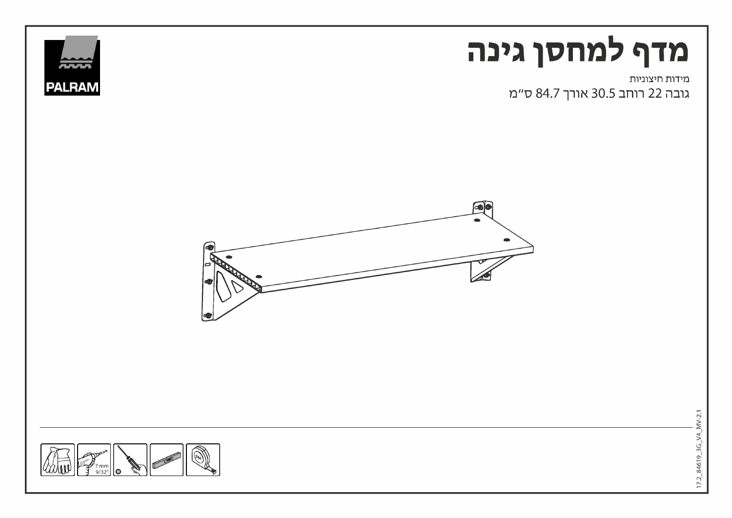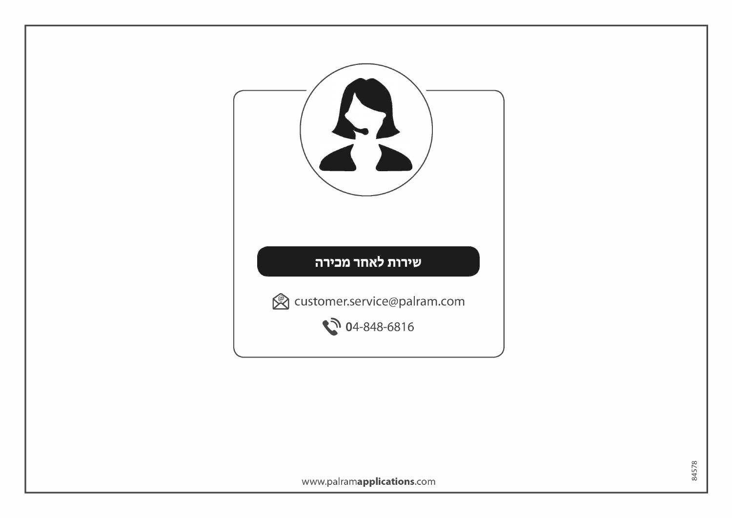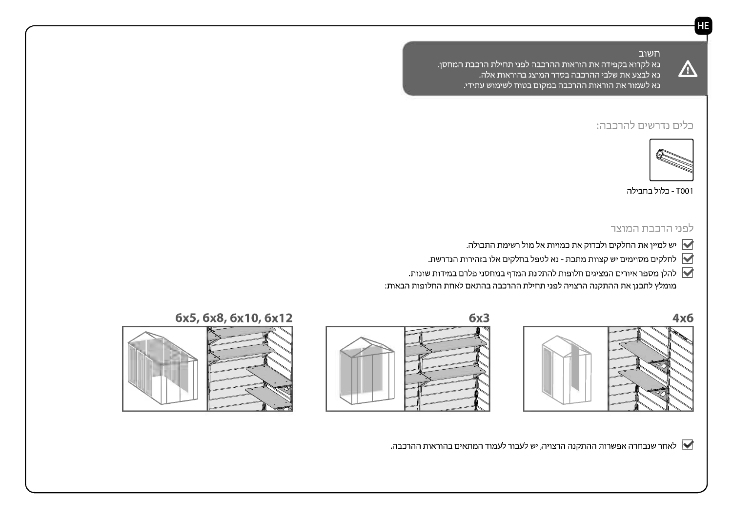$\sqrt{\Delta}$ 

# חשוב

<u>נא לקרוא בקפידה את הוראות ההרכבה לפני תחילת הרכבת המחסן. </u> נא לבצע את שלבי ההרכבה בסדר המוצג בהוראות אלה. נא לשמור את הוראות ההרכבה במקום בטוח לשימוש עתידי.

# כלים נדרשים להרכבה:



T001 - כלול בחבילה

# לפני הרכבת המוצר

- יש למיין את החלקים ולבדוק את כמויות אל מול רשימת התכולה.  $\blacktriangleright$
- לחלקים מסוימים יש קצוות מתכת נא לטפל בחלקים אלו בזהירות הנדרשת.
- להלן מספר איורים המציגים חלופות להתקנת המדף במחסני פלרם במידות שונות.  $\blacktriangledown$ מומלץ לתכנן את ההתקנה הרצויה לפני תחילת ההרכבה בהתאם לאחת החלופות הבאות:











לאחר שנבחרה אפשרות ההתקנה הרצויה, יש לעבור לעמוד המתאים בהוראות ההרכבה.  $\blacktriangleright$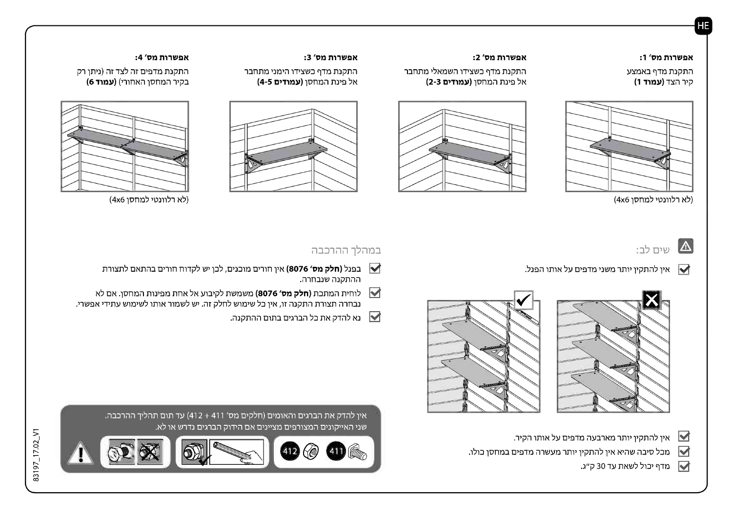### אפשרות מס' 1:

## התקנת מדף באמצע קיר הצד **(עמוד 1)**



(לא רלוונטי למחסן 4x6)

#### אפשרות מס' 2:

התקנת מדף כשצידו השמאלי מתחבר אל פינת המחסן (**עמודים 2-3)** 



### אפשרות מס' 3:

התקנת מדף כשצידו הימני מתחבר אל פינת המחסן **(עמודים 4-5)** 



#### אפשרות מס' 4:

התקנת מדפים זה לצד זה (ניתן רק בקיר המחסן האחורי) **(עמוד 6)** 



(לא רלוונטי למחסן 4x6)

# שים לב:

→ אין להתקין יותר משני מדפים על אותו הפנל.





# במהלך ההרכבה

- בפנל **(חלק מס׳ 8076)** אין חורים מוכנים, לכן יש לקדוח חורים בהתאם לתצורת ההתקנה שנבחרה.
- └ לוחית המתכת **(חלק מס׳ 8076)** משמשת לקיבוע אל אחת מפינות המחסן. אם לא נבחרה תצורת התקנה זו, אין כל שימוש לחלק זה. יש לשמור אותו לשימוש עתידי אפשרי.
	- נא להדק את כל הברגים בתום ההתקנה.  $\blacktriangleright$

אין להדק את הברגים והאומים (חלקים מס׳ 411 + 412) עד תום תהליך ההרכבה. שני האייקונים המצורפים מציינים אם הידוק הברגים נדרש או לא.





אין להתקין יותר מארבעה מדפים על אותו הקיר.  $\blacktriangleright$  $\blacksquare$ מכל סיבה שהיא אין להתקין יותר מעשרה מדפים במחסן כולו.

א מדף יכול לשאת עד 30 ק״ג.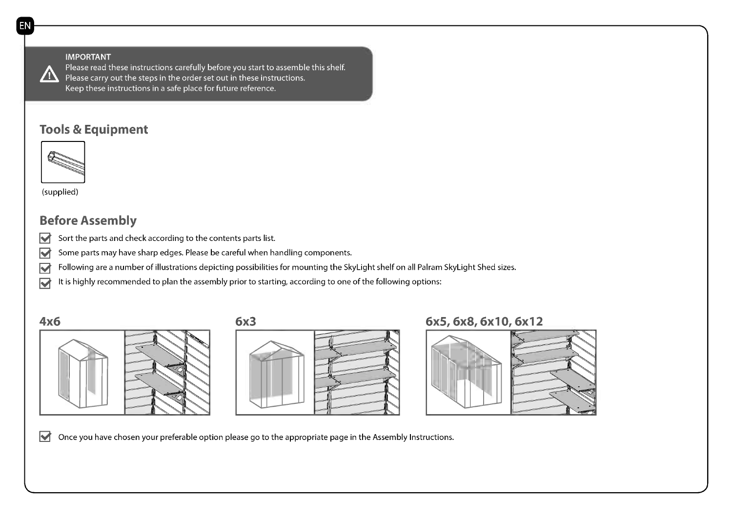IMPORTANT Please read these instructions carefully before you start to assemble this shelf.  $\sqrt{N}$  Please carry out the steps in the order set out in these instructions. Keep these instructions in a safe place for future reference.

# Tools & Equipment



(supplied)

# Before Assembly

- $\blacktriangleright$  Sort the parts and check according to the contents parts list.
- Some parts may have sharp edges. Please be careful when handling components.
- Following are a number of illustrations depicting possibilities for mounting the SkyLight shelf on all Palram SkyLight Shed sizes.  $\overline{\blacktriangledown}$
- It is highly recommended to plan the assembly prior to starting, according to one of the following options:







# 6x5, 6x8, 6x10, 6x12



 $\blacktriangleright$  Once you have chosen your preferable option please go to the appropriate page in the Assembly Instructions.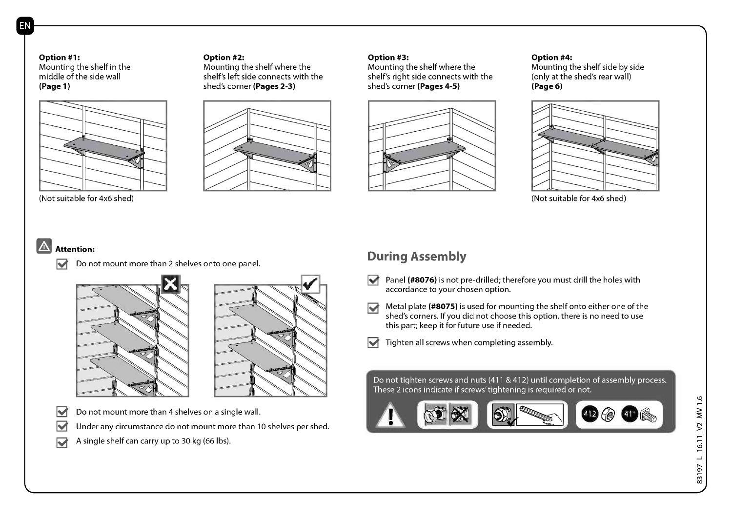Option #1: Mounting the shelf in the middle of the side wall (Page 1)



#### Option #2:

Mounting the shelf where the shelf's left side connects with the shed's corner (Pages 2-3)



#### Option #3:

Mounting the shelf where the shelf's right side connects with the shed's corner (Pages 4-5)



#### Option #4:

Mounting the shelf side by side (only at the shed's rear wall) (Page 6)



# (Not suitable for 4x6 shed)

#### $|\nabla|$ Attention:

 $\blacktriangleright$  Do not mount more than 2 shelves onto one panel.





 $\blacktriangleright$  Do not mount more than 4 shelves on a single wall.

 $\blacktriangleright$  Under any circumstance do not mount more than 10 shelves per shed.

 $\blacktriangleright$  A single shelf can carry up to 30 kg (66 lbs).

# During Assembly

- Panel (#8076) is not pre-drilled; therefore you must drill the holes with accordance to your chosen option.
- Metal plate (#8075) is used for mounting the shelf onto either one of the shed's corners. If you did not choose this option, there is no need to use this part; keep it for future use if needed.
- $\blacktriangleright$  Tighten all screws when completing assembly.

Do not tighten screws and nuts (411 & 412) until completion of assembly process. These 2 icons indicate if screws'tightening is required or not.

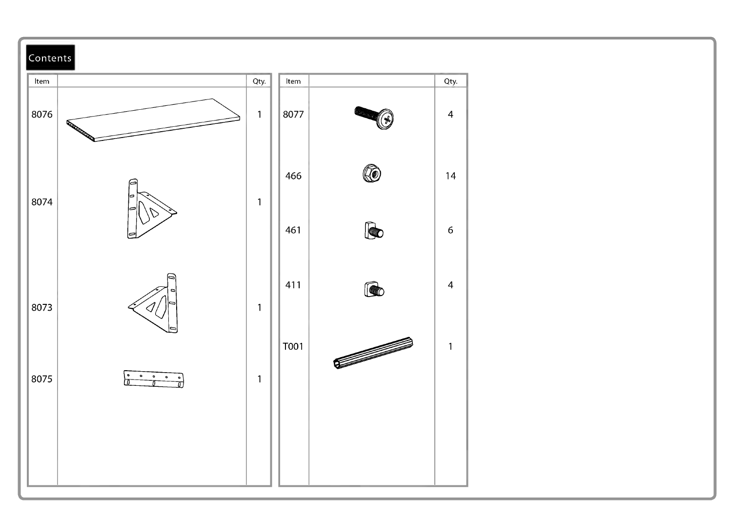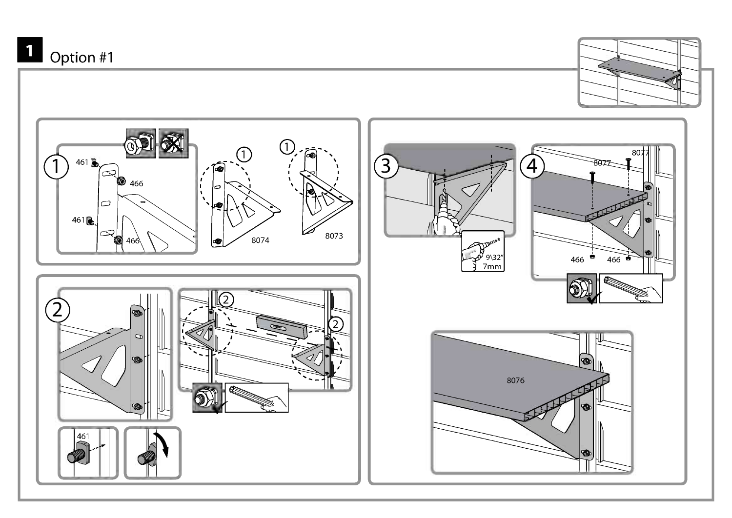# $\overline{\mathbf{1}}$  Option #1



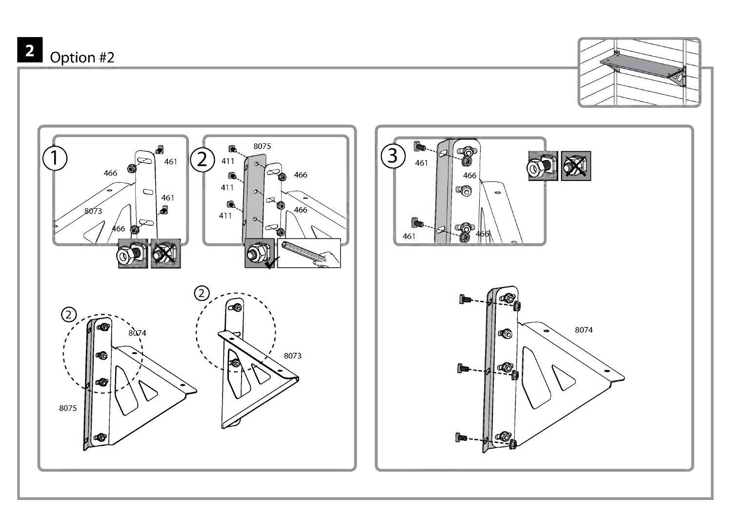Option #2





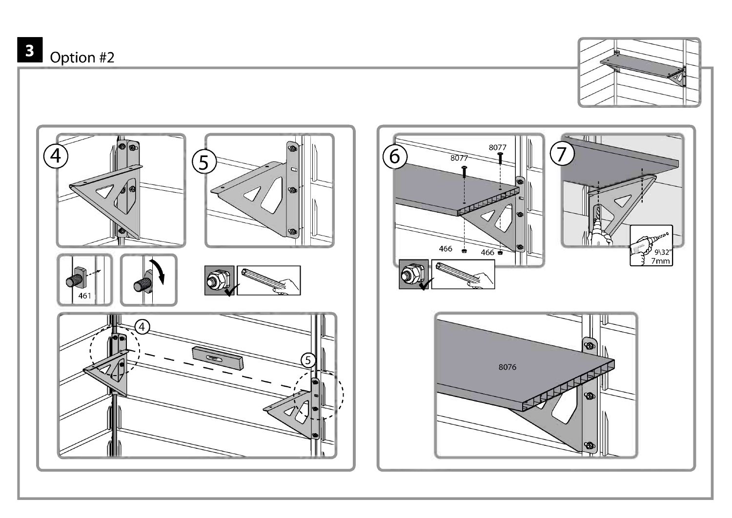



ත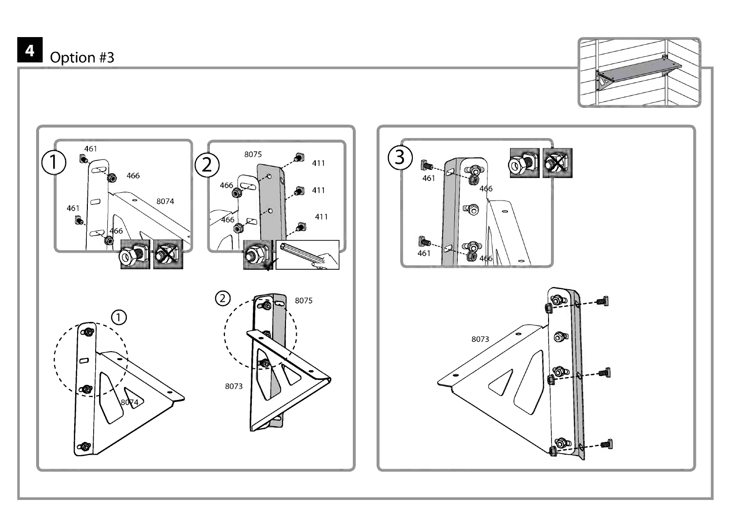# Option #3



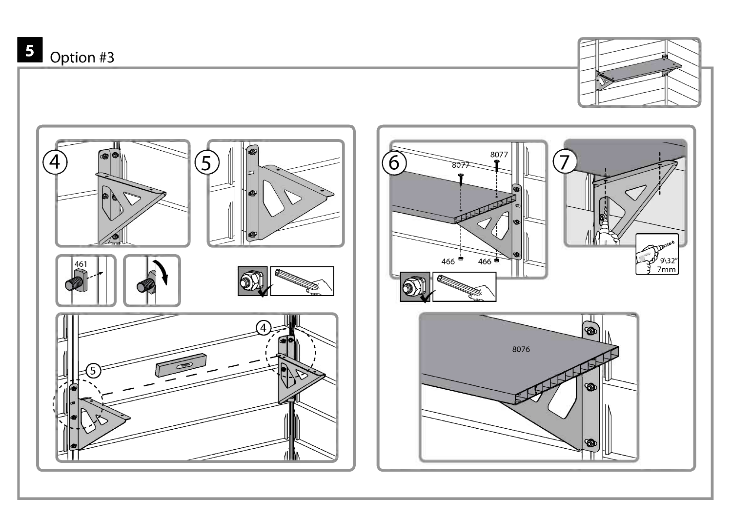